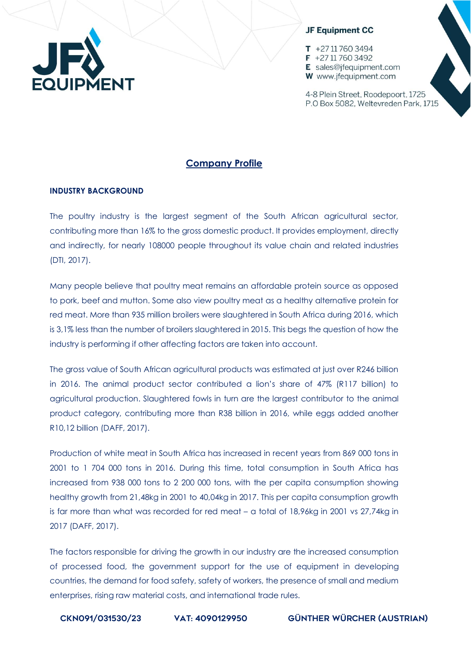

 $T + 27117603494$  $F$  +27 11 760 3492 E sales@ifequipment.com W www.jfequipment.com

4-8 Plein Street, Roodepoort, 1725 P.O Box 5082, Weltevreden Park, 1715

# **Company Profile**

### **INDUSTRY BACKGROUND**

The poultry industry is the largest segment of the South African agricultural sector, contributing more than 16% to the gross domestic product. It provides employment, directly and indirectly, for nearly 108000 people throughout its value chain and related industries (DTI, 2017).

Many people believe that poultry meat remains an affordable protein source as opposed to pork, beef and mutton. Some also view poultry meat as a healthy alternative protein for red meat. More than 935 million broilers were slaughtered in South Africa during 2016, which is 3,1% less than the number of broilers slaughtered in 2015. This begs the question of how the industry is performing if other affecting factors are taken into account.

The gross value of South African agricultural products was estimated at just over R246 billion in 2016. The animal product sector contributed a lion's share of 47% (R117 billion) to agricultural production. Slaughtered fowls in turn are the largest contributor to the animal product category, contributing more than R38 billion in 2016, while eggs added another R10,12 billion (DAFF, 2017).

Production of white meat in South Africa has increased in recent years from 869 000 tons in 2001 to 1 704 000 tons in 2016. During this time, total consumption in South Africa has increased from 938 000 tons to 2 200 000 tons, with the per capita consumption showing healthy growth from 21,48kg in 2001 to 40,04kg in 2017. This per capita consumption growth is far more than what was recorded for red meat – a total of 18,96kg in 2001 vs 27,74kg in 2017 (DAFF, 2017).

The factors responsible for driving the growth in our industry are the increased consumption of processed food, the government support for the use of equipment in developing countries, the demand for food safety, safety of workers, the presence of small and medium enterprises, rising raw material costs, and international trade rules.

CKN091/031530/23 vat: 4090129950 Günther Würcher (Austrian)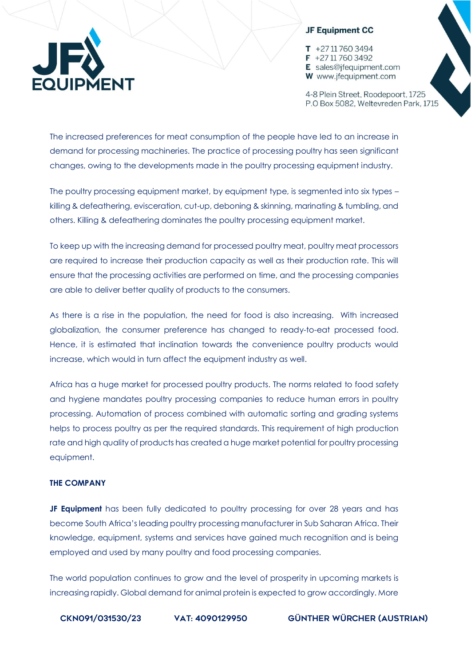

 $T + 27117603494$  $F$  +27 11 760 3492 E sales@ifequipment.com W www.jfequipment.com

4-8 Plein Street, Roodepoort, 1725 P.O Box 5082, Weltevreden Park, 1715

The increased preferences for meat consumption of the people have led to an increase in demand for processing machineries. The practice of processing poultry has seen significant changes, owing to the developments made in the poultry processing equipment industry.

The poultry processing equipment market, by equipment type, is segmented into six types – killing & defeathering, evisceration, cut-up, deboning & skinning, marinating & tumbling, and others. Killing & defeathering dominates the poultry processing equipment market.

To keep up with the increasing demand for processed poultry meat, poultry meat processors are required to increase their production capacity as well as their production rate. This will ensure that the processing activities are performed on time, and the processing companies are able to deliver better quality of products to the consumers.

As there is a rise in the population, the need for food is also increasing. With increased globalization, the consumer preference has changed to ready-to-eat processed food. Hence, it is estimated that inclination towards the convenience poultry products would increase, which would in turn affect the equipment industry as well.

Africa has a huge market for processed poultry products. The norms related to food safety and hygiene mandates poultry processing companies to reduce human errors in poultry processing. Automation of process combined with automatic sorting and grading systems helps to process poultry as per the required standards. This requirement of high production rate and high quality of products has created a huge market potential for poultry processing equipment.

#### **THE COMPANY**

**JF Equipment** has been fully dedicated to poultry processing for over 28 years and has become South Africa's leading poultry processing manufacturer in Sub Saharan Africa. Their knowledge, equipment, systems and services have gained much recognition and is being employed and used by many poultry and food processing companies.

The world population continues to grow and the level of prosperity in upcoming markets is increasing rapidly. Global demand for animal protein is expected to grow accordingly. More

CKN091/031530/23 vat: 4090129950 Günther Würcher (Austrian)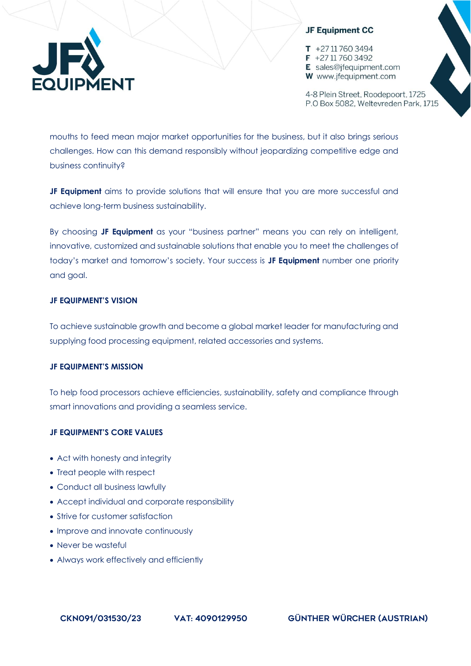$T + 27117603494$  $F$  +27 11 760 3492 E sales@ifequipment.com **W** www.jfequipment.com

4-8 Plein Street, Roodepoort, 1725 P.O Box 5082, Weltevreden Park, 1715

mouths to feed mean major market opportunities for the business, but it also brings serious challenges. How can this demand responsibly without jeopardizing competitive edge and business continuity?

**JF Equipment** aims to provide solutions that will ensure that you are more successful and achieve long-term business sustainability.

By choosing **JF Equipment** as your "business partner" means you can rely on intelligent, innovative, customized and sustainable solutions that enable you to meet the challenges of today's market and tomorrow's society. Your success is **JF Equipment** number one priority and goal.

# **JF EQUIPMENT'S VISION**

To achieve sustainable growth and become a global market leader for manufacturing and supplying food processing equipment, related accessories and systems.

# **JF EQUIPMENT'S MISSION**

To help food processors achieve efficiencies, sustainability, safety and compliance through smart innovations and providing a seamless service.

# **JF EQUIPMENT'S CORE VALUES**

- Act with honesty and integrity
- Treat people with respect
- Conduct all business lawfully
- Accept individual and corporate responsibility
- Strive for customer satisfaction
- Improve and innovate continuously
- Never be wasteful
- Always work effectively and efficiently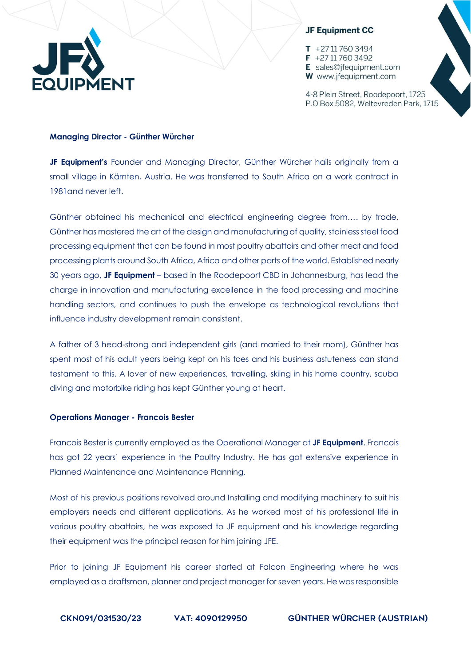

 $T + 27117603494$  $F$  +27 11 760 3492 E sales@ifequipment.com W www.jfequipment.com

4-8 Plein Street, Roodepoort, 1725 P.O Box 5082, Weltevreden Park, 1715

#### **Managing Director - Günther Würcher**

**JF Equipment's** Founder and Managing Director, Günther Würcher hails originally from a small village in Kärnten, Austria. He was transferred to South Africa on a work contract in 1981and never left.

Günther obtained his mechanical and electrical engineering degree from…. by trade, Günther has mastered the art of the design and manufacturing of quality, stainless steel food processing equipment that can be found in most poultry abattoirs and other meat and food processing plants around South Africa, Africa and other parts of the world. Established nearly 30 years ago, **JF Equipment** – based in the Roodepoort CBD in Johannesburg, has lead the charge in innovation and manufacturing excellence in the food processing and machine handling sectors, and continues to push the envelope as technological revolutions that influence industry development remain consistent.

A father of 3 head-strong and independent girls (and married to their mom), Günther has spent most of his adult years being kept on his toes and his business astuteness can stand testament to this. A lover of new experiences, travelling, skiing in his home country, scuba diving and motorbike riding has kept Günther young at heart.

#### **Operations Manager - Francois Bester**

Francois Bester is currently employed as the Operational Manager at **JF Equipment**. Francois has got 22 years' experience in the Poultry Industry. He has got extensive experience in Planned Maintenance and Maintenance Planning.

Most of his previous positions revolved around Installing and modifying machinery to suit his employers needs and different applications. As he worked most of his professional life in various poultry abattoirs, he was exposed to JF equipment and his knowledge regarding their equipment was the principal reason for him joining JFE.

Prior to joining JF Equipment his career started at Falcon Engineering where he was employed as a draftsman, planner and project manager for seven years. He was responsible

CKN091/031530/23 vat: 4090129950 Günther Würcher (Austrian)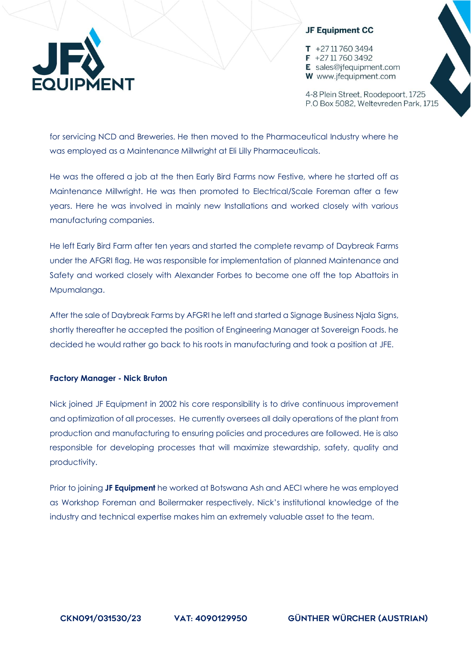

 $T + 27117603494$  $F$  +27 11 760 3492 E sales@ifequipment.com W www.jfequipment.com

4-8 Plein Street, Roodepoort, 1725 P.O Box 5082, Weltevreden Park, 1715

for servicing NCD and Breweries. He then moved to the Pharmaceutical Industry where he was employed as a Maintenance Millwright at Eli Lilly Pharmaceuticals.

He was the offered a job at the then Early Bird Farms now Festive, where he started off as Maintenance Millwright. He was then promoted to Electrical/Scale Foreman after a few years. Here he was involved in mainly new Installations and worked closely with various manufacturing companies.

He left Early Bird Farm after ten years and started the complete revamp of Daybreak Farms under the AFGRI flag. He was responsible for implementation of planned Maintenance and Safety and worked closely with Alexander Forbes to become one off the top Abattoirs in Mpumalanga.

After the sale of Daybreak Farms by AFGRI he left and started a Signage Business Njala Signs, shortly thereafter he accepted the position of Engineering Manager at Sovereign Foods. he decided he would rather go back to his roots in manufacturing and took a position at JFE.

#### **Factory Manager - Nick Bruton**

Nick joined JF Equipment in 2002 his core responsibility is to drive continuous improvement and optimization of all processes. He currently oversees all daily operations of the plant from production and manufacturing to ensuring policies and procedures are followed. He is also responsible for developing processes that will maximize stewardship, safety, quality and productivity.

Prior to joining **JF Equipment** he worked at Botswana Ash and AECI where he was employed as Workshop Foreman and Boilermaker respectively. Nick's institutional knowledge of the industry and technical expertise makes him an extremely valuable asset to the team.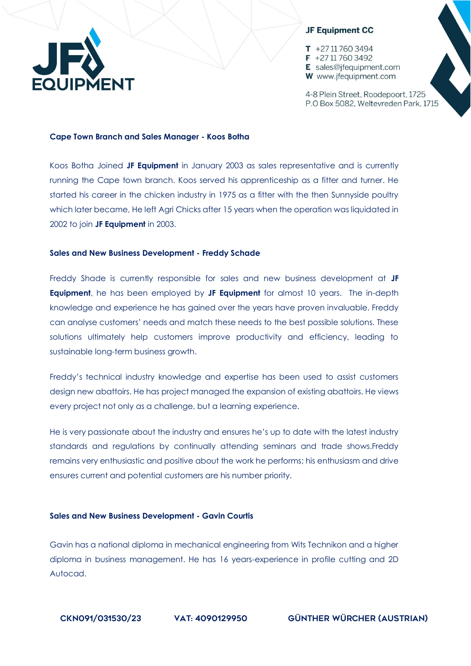

 $T + 27117603494$  $F$  +27 11 760 3492 E sales@ifequipment.com W www.jfequipment.com

4-8 Plein Street, Roodepoort, 1725 P.O Box 5082, Weltevreden Park, 1715

#### **Cape Town Branch and Sales Manager - Koos Botha**

Koos Botha Joined **JF Equipment** in January 2003 as sales representative and is currently running the Cape town branch. Koos served his apprenticeship as a fitter and turner. He started his career in the chicken industry in 1975 as a fitter with the then Sunnyside poultry which later became, He left Agri Chicks after 15 years when the operation was liquidated in 2002 to join **JF Equipment** in 2003.

#### **Sales and New Business Development - Freddy Schade**

Freddy Shade is currently responsible for sales and new business development at **JF Equipment**, he has been employed by **JF Equipment** for almost 10 years. The in-depth knowledge and experience he has gained over the years have proven invaluable. Freddy can analyse customers' needs and match these needs to the best possible solutions. These solutions ultimately help customers improve productivity and efficiency, leading to sustainable long-term business growth.

Freddy's technical industry knowledge and expertise has been used to assist customers design new abattoirs. He has project managed the expansion of existing abattoirs. He views every project not only as a challenge, but a learning experience.

He is very passionate about the industry and ensures he's up to date with the latest industry standards and regulations by continually attending seminars and trade shows.Freddy remains very enthusiastic and positive about the work he performs; his enthusiasm and drive ensures current and potential customers are his number priority.

### **Sales and New Business Development - Gavin Courtis**

Gavin has a national diploma in mechanical engineering from Wits Technikon and a higher diploma in business management. He has 16 years-experience in profile cutting and 2D Autocad.